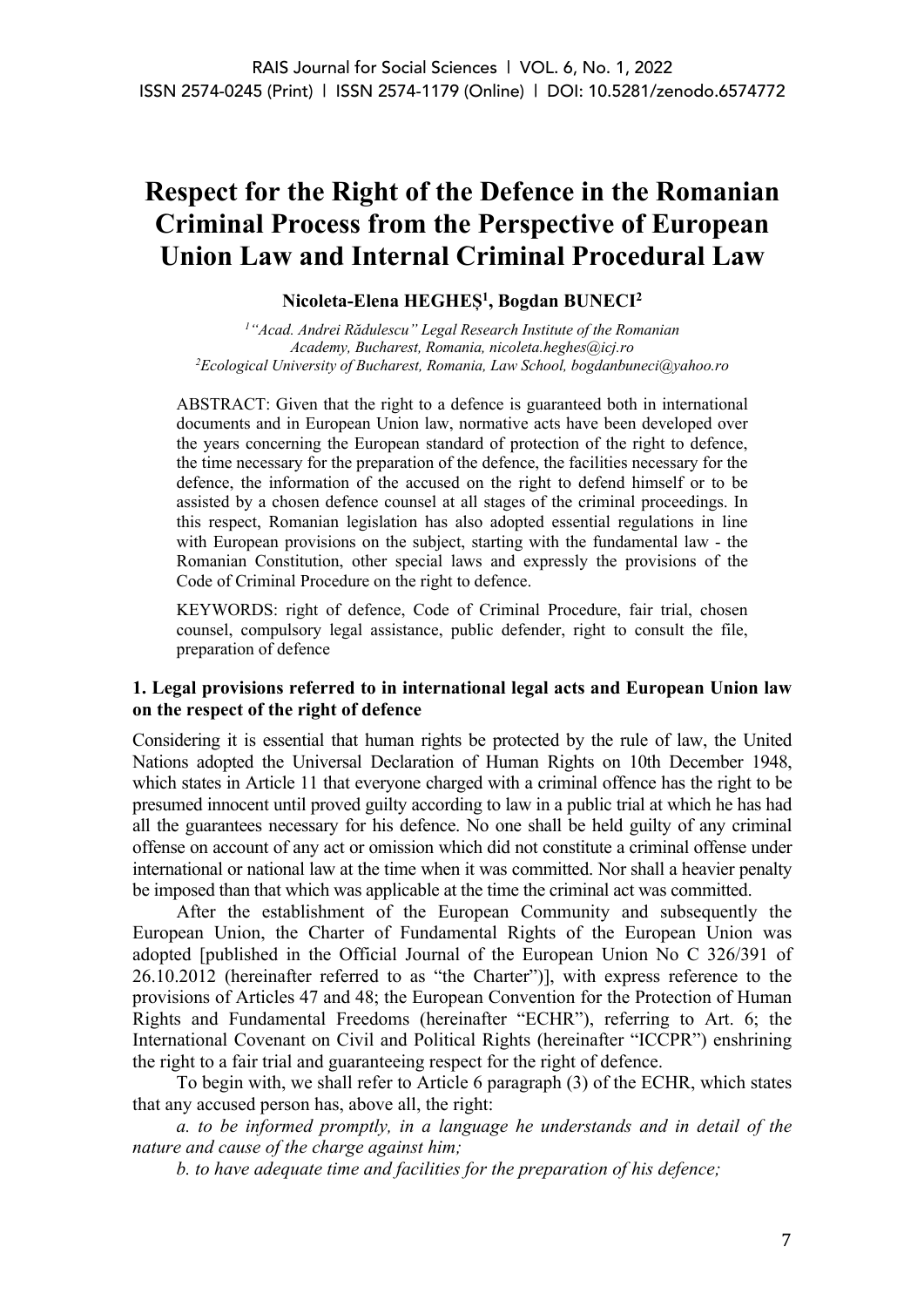# **Respect for the Right of the Defence in the Romanian Criminal Process from the Perspective of European Union Law and Internal Criminal Procedural Law**

**Nicoleta-Elena HEGHEȘ1 , Bogdan BUNECI2**

*1 "Acad. Andrei Rădulescu" Legal Research Institute of the Romanian Academy, Bucharest, Romania, nicoleta.heghes@icj.ro 2 Ecological University of Bucharest, Romania, Law School, bogdanbuneci@yahoo.ro*

ABSTRACT: Given that the right to a defence is guaranteed both in international documents and in European Union law, normative acts have been developed over the years concerning the European standard of protection of the right to defence, the time necessary for the preparation of the defence, the facilities necessary for the defence, the information of the accused on the right to defend himself or to be assisted by a chosen defence counsel at all stages of the criminal proceedings. In this respect, Romanian legislation has also adopted essential regulations in line with European provisions on the subject, starting with the fundamental law - the Romanian Constitution, other special laws and expressly the provisions of the Code of Criminal Procedure on the right to defence.

KEYWORDS: right of defence, Code of Criminal Procedure, fair trial, chosen counsel, compulsory legal assistance, public defender, right to consult the file, preparation of defence

## **1. Legal provisions referred to in international legal acts and European Union law on the respect of the right of defence**

Considering it is essential that human rights be protected by the rule of law, the United Nations adopted the Universal Declaration of Human Rights on 10th December 1948, which states in Article 11 that everyone charged with a criminal offence has the right to be presumed innocent until proved guilty according to law in a public trial at which he has had all the guarantees necessary for his defence. No one shall be held guilty of any criminal offense on account of any act or omission which did not constitute a criminal offense under international or national law at the time when it was committed. Nor shall a heavier penalty be imposed than that which was applicable at the time the criminal act was committed.

After the establishment of the European Community and subsequently the European Union, the Charter of Fundamental Rights of the European Union was adopted [published in the Official Journal of the European Union No C 326/391 of 26.10.2012 (hereinafter referred to as "the Charter")], with express reference to the provisions of Articles 47 and 48; the European Convention for the Protection of Human Rights and Fundamental Freedoms (hereinafter "ECHR"), referring to Art. 6; the International Covenant on Civil and Political Rights (hereinafter "ICCPR") enshrining the right to a fair trial and guaranteeing respect for the right of defence.

To begin with, we shall refer to Article 6 paragraph (3) of the ECHR, which states that any accused person has, above all, the right:

*a. to be informed promptly, in a language he understands and in detail of the nature and cause of the charge against him;*

*b. to have adequate time and facilities for the preparation of his defence;*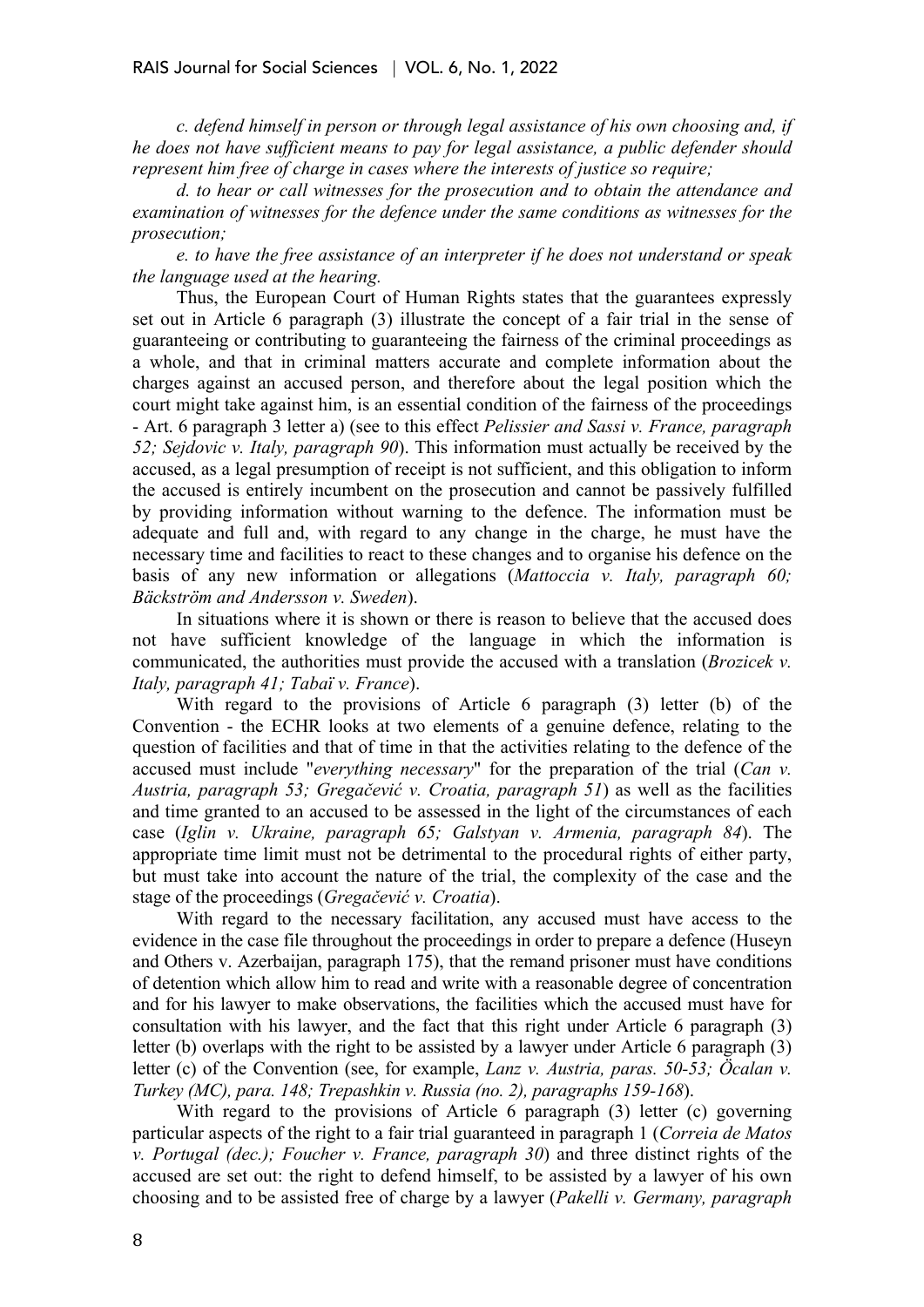*c. defend himself in person or through legal assistance of his own choosing and, if he does not have sufficient means to pay for legal assistance, a public defender should represent him free of charge in cases where the interests of justice so require;*

*d. to hear or call witnesses for the prosecution and to obtain the attendance and examination of witnesses for the defence under the same conditions as witnesses for the prosecution;*

*e. to have the free assistance of an interpreter if he does not understand or speak the language used at the hearing.*

Thus, the European Court of Human Rights states that the guarantees expressly set out in Article 6 paragraph (3) illustrate the concept of a fair trial in the sense of guaranteeing or contributing to guaranteeing the fairness of the criminal proceedings as a whole, and that in criminal matters accurate and complete information about the charges against an accused person, and therefore about the legal position which the court might take against him, is an essential condition of the fairness of the proceedings - Art. 6 paragraph 3 letter a) (see to this effect *Pelissier and Sassi v. France, paragraph 52; Sejdovic v. Italy, paragraph 90*). This information must actually be received by the accused, as a legal presumption of receipt is not sufficient, and this obligation to inform the accused is entirely incumbent on the prosecution and cannot be passively fulfilled by providing information without warning to the defence. The information must be adequate and full and, with regard to any change in the charge, he must have the necessary time and facilities to react to these changes and to organise his defence on the basis of any new information or allegations (*Mattoccia v. Italy, paragraph 60; Bäckström and Andersson v. Sweden*).

In situations where it is shown or there is reason to believe that the accused does not have sufficient knowledge of the language in which the information is communicated, the authorities must provide the accused with a translation (*Brozicek v. Italy, paragraph 41; Tabaï v. France*).

With regard to the provisions of Article 6 paragraph (3) letter (b) of the Convention - the ECHR looks at two elements of a genuine defence, relating to the question of facilities and that of time in that the activities relating to the defence of the accused must include "*everything necessary*" for the preparation of the trial (*Can v. Austria, paragraph 53; Gregačević v. Croatia, paragraph 51*) as well as the facilities and time granted to an accused to be assessed in the light of the circumstances of each case (*Iglin v. Ukraine, paragraph 65; Galstyan v. Armenia, paragraph 84*). The appropriate time limit must not be detrimental to the procedural rights of either party, but must take into account the nature of the trial, the complexity of the case and the stage of the proceedings (*Gregačević v. Croatia*).

With regard to the necessary facilitation, any accused must have access to the evidence in the case file throughout the proceedings in order to prepare a defence (Huseyn and Others v. Azerbaijan, paragraph 175), that the remand prisoner must have conditions of detention which allow him to read and write with a reasonable degree of concentration and for his lawyer to make observations, the facilities which the accused must have for consultation with his lawyer, and the fact that this right under Article 6 paragraph (3) letter (b) overlaps with the right to be assisted by a lawyer under Article 6 paragraph (3) letter (c) of the Convention (see, for example, *Lanz v. Austria, paras. 50-53; Öcalan v. Turkey (MC), para. 148; Trepashkin v. Russia (no. 2), paragraphs 159-168*).

With regard to the provisions of Article 6 paragraph (3) letter (c) governing particular aspects of the right to a fair trial guaranteed in paragraph 1 (*Correia de Matos v. Portugal (dec.); Foucher v. France, paragraph 30*) and three distinct rights of the accused are set out: the right to defend himself, to be assisted by a lawyer of his own choosing and to be assisted free of charge by a lawyer (*Pakelli v. Germany, paragraph*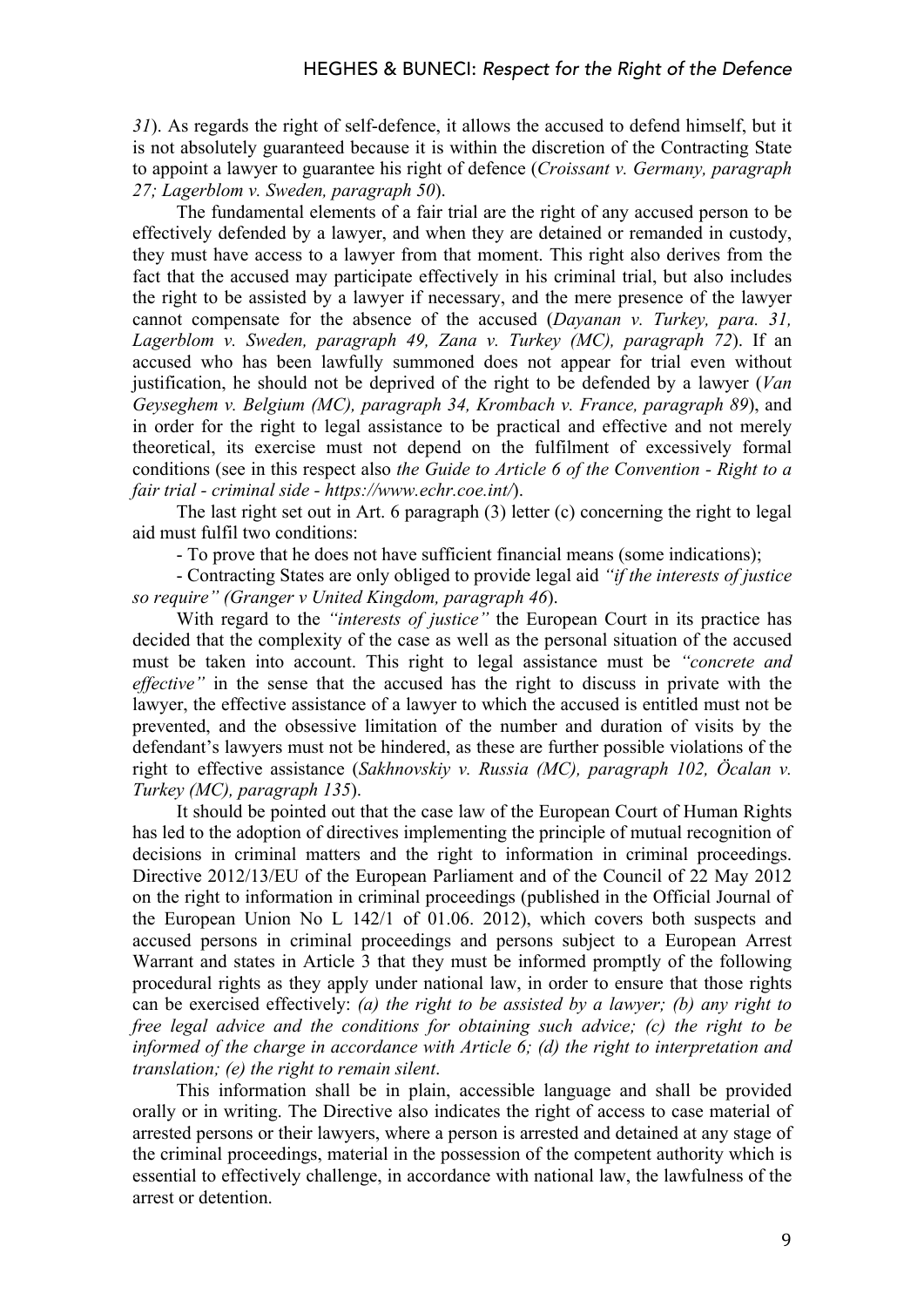*31*). As regards the right of self-defence, it allows the accused to defend himself, but it is not absolutely guaranteed because it is within the discretion of the Contracting State to appoint a lawyer to guarantee his right of defence (*Croissant v. Germany, paragraph 27; Lagerblom v. Sweden, paragraph 50*).

The fundamental elements of a fair trial are the right of any accused person to be effectively defended by a lawyer, and when they are detained or remanded in custody, they must have access to a lawyer from that moment. This right also derives from the fact that the accused may participate effectively in his criminal trial, but also includes the right to be assisted by a lawyer if necessary, and the mere presence of the lawyer cannot compensate for the absence of the accused (*Dayanan v. Turkey, para. 31, Lagerblom v. Sweden, paragraph 49, Zana v. Turkey (MC), paragraph 72*). If an accused who has been lawfully summoned does not appear for trial even without justification, he should not be deprived of the right to be defended by a lawyer (*Van Geyseghem v. Belgium (MC), paragraph 34, Krombach v. France, paragraph 89*), and in order for the right to legal assistance to be practical and effective and not merely theoretical, its exercise must not depend on the fulfilment of excessively formal conditions (see in this respect also *the Guide to Article 6 of the Convention - Right to a fair trial - criminal side - https://www.echr.coe.int/*).

The last right set out in Art. 6 paragraph (3) letter (c) concerning the right to legal aid must fulfil two conditions:

- To prove that he does not have sufficient financial means (some indications);

- Contracting States are only obliged to provide legal aid *"if the interests of justice so require" (Granger v United Kingdom, paragraph 46*).

With regard to the *"interests of justice"* the European Court in its practice has decided that the complexity of the case as well as the personal situation of the accused must be taken into account. This right to legal assistance must be *"concrete and effective"* in the sense that the accused has the right to discuss in private with the lawyer, the effective assistance of a lawyer to which the accused is entitled must not be prevented, and the obsessive limitation of the number and duration of visits by the defendant's lawyers must not be hindered, as these are further possible violations of the right to effective assistance (*Sakhnovskiy v. Russia (MC), paragraph 102, Öcalan v. Turkey (MC), paragraph 135*).

It should be pointed out that the case law of the European Court of Human Rights has led to the adoption of directives implementing the principle of mutual recognition of decisions in criminal matters and the right to information in criminal proceedings. Directive 2012/13/EU of the European Parliament and of the Council of 22 May 2012 on the right to information in criminal proceedings (published in the Official Journal of the European Union No L 142/1 of 01.06. 2012), which covers both suspects and accused persons in criminal proceedings and persons subject to a European Arrest Warrant and states in Article 3 that they must be informed promptly of the following procedural rights as they apply under national law, in order to ensure that those rights can be exercised effectively: *(a) the right to be assisted by a lawyer; (b) any right to free legal advice and the conditions for obtaining such advice; (c) the right to be informed of the charge in accordance with Article 6; (d) the right to interpretation and translation; (e) the right to remain silent*.

This information shall be in plain, accessible language and shall be provided orally or in writing. The Directive also indicates the right of access to case material of arrested persons or their lawyers, where a person is arrested and detained at any stage of the criminal proceedings, material in the possession of the competent authority which is essential to effectively challenge, in accordance with national law, the lawfulness of the arrest or detention.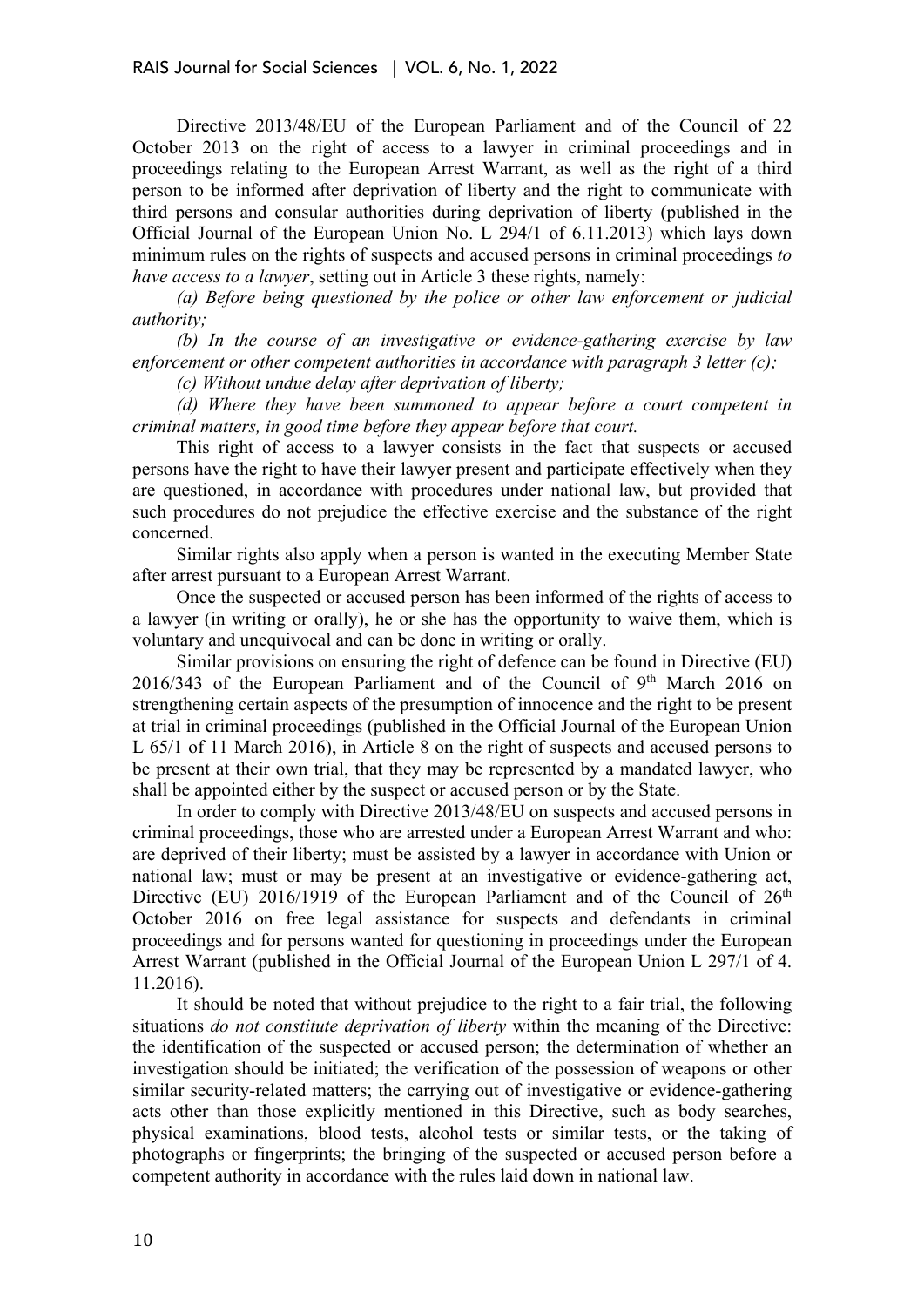Directive 2013/48/EU of the European Parliament and of the Council of 22 October 2013 on the right of access to a lawyer in criminal proceedings and in proceedings relating to the European Arrest Warrant, as well as the right of a third person to be informed after deprivation of liberty and the right to communicate with third persons and consular authorities during deprivation of liberty (published in the Official Journal of the European Union No. L 294/1 of 6.11.2013) which lays down minimum rules on the rights of suspects and accused persons in criminal proceedings *to have access to a lawyer*, setting out in Article 3 these rights, namely:

*(a) Before being questioned by the police or other law enforcement or judicial authority;*

*(b) In the course of an investigative or evidence-gathering exercise by law enforcement or other competent authorities in accordance with paragraph 3 letter (c);*

*(c) Without undue delay after deprivation of liberty;*

*(d) Where they have been summoned to appear before a court competent in criminal matters, in good time before they appear before that court.*

This right of access to a lawyer consists in the fact that suspects or accused persons have the right to have their lawyer present and participate effectively when they are questioned, in accordance with procedures under national law, but provided that such procedures do not prejudice the effective exercise and the substance of the right concerned.

Similar rights also apply when a person is wanted in the executing Member State after arrest pursuant to a European Arrest Warrant.

Once the suspected or accused person has been informed of the rights of access to a lawyer (in writing or orally), he or she has the opportunity to waive them, which is voluntary and unequivocal and can be done in writing or orally.

Similar provisions on ensuring the right of defence can be found in Directive (EU)  $2016/343$  of the European Parliament and of the Council of  $9<sup>th</sup>$  March 2016 on strengthening certain aspects of the presumption of innocence and the right to be present at trial in criminal proceedings (published in the Official Journal of the European Union L 65/1 of 11 March 2016), in Article 8 on the right of suspects and accused persons to be present at their own trial, that they may be represented by a mandated lawyer, who shall be appointed either by the suspect or accused person or by the State.

In order to comply with Directive 2013/48/EU on suspects and accused persons in criminal proceedings, those who are arrested under a European Arrest Warrant and who: are deprived of their liberty; must be assisted by a lawyer in accordance with Union or national law; must or may be present at an investigative or evidence-gathering act, Directive (EU) 2016/1919 of the European Parliament and of the Council of  $26<sup>th</sup>$ October 2016 on free legal assistance for suspects and defendants in criminal proceedings and for persons wanted for questioning in proceedings under the European Arrest Warrant (published in the Official Journal of the European Union L 297/1 of 4. 11.2016).

It should be noted that without prejudice to the right to a fair trial, the following situations *do not constitute deprivation of liberty* within the meaning of the Directive: the identification of the suspected or accused person; the determination of whether an investigation should be initiated; the verification of the possession of weapons or other similar security-related matters; the carrying out of investigative or evidence-gathering acts other than those explicitly mentioned in this Directive, such as body searches, physical examinations, blood tests, alcohol tests or similar tests, or the taking of photographs or fingerprints; the bringing of the suspected or accused person before a competent authority in accordance with the rules laid down in national law.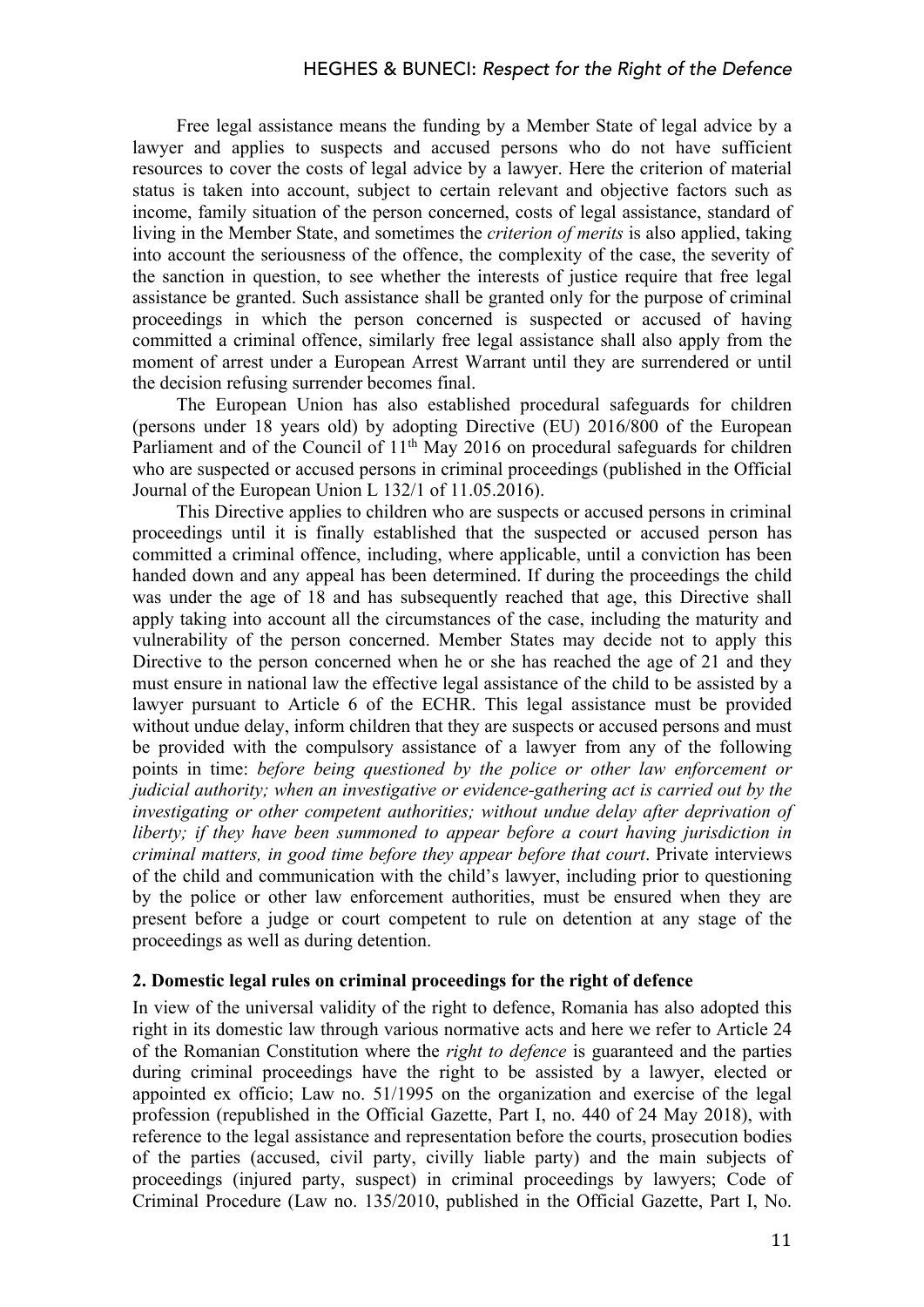Free legal assistance means the funding by a Member State of legal advice by a lawyer and applies to suspects and accused persons who do not have sufficient resources to cover the costs of legal advice by a lawyer. Here the criterion of material status is taken into account, subject to certain relevant and objective factors such as income, family situation of the person concerned, costs of legal assistance, standard of living in the Member State, and sometimes the *criterion of merits* is also applied, taking into account the seriousness of the offence, the complexity of the case, the severity of the sanction in question, to see whether the interests of justice require that free legal assistance be granted. Such assistance shall be granted only for the purpose of criminal proceedings in which the person concerned is suspected or accused of having committed a criminal offence, similarly free legal assistance shall also apply from the moment of arrest under a European Arrest Warrant until they are surrendered or until the decision refusing surrender becomes final.

The European Union has also established procedural safeguards for children (persons under 18 years old) by adopting Directive (EU) 2016/800 of the European Parliament and of the Council of 11<sup>th</sup> May 2016 on procedural safeguards for children who are suspected or accused persons in criminal proceedings (published in the Official Journal of the European Union L 132/1 of 11.05.2016).

This Directive applies to children who are suspects or accused persons in criminal proceedings until it is finally established that the suspected or accused person has committed a criminal offence, including, where applicable, until a conviction has been handed down and any appeal has been determined. If during the proceedings the child was under the age of 18 and has subsequently reached that age, this Directive shall apply taking into account all the circumstances of the case, including the maturity and vulnerability of the person concerned. Member States may decide not to apply this Directive to the person concerned when he or she has reached the age of 21 and they must ensure in national law the effective legal assistance of the child to be assisted by a lawyer pursuant to Article 6 of the ECHR. This legal assistance must be provided without undue delay, inform children that they are suspects or accused persons and must be provided with the compulsory assistance of a lawyer from any of the following points in time: *before being questioned by the police or other law enforcement or judicial authority; when an investigative or evidence-gathering act is carried out by the investigating or other competent authorities; without undue delay after deprivation of liberty; if they have been summoned to appear before a court having jurisdiction in criminal matters, in good time before they appear before that court*. Private interviews of the child and communication with the child's lawyer, including prior to questioning by the police or other law enforcement authorities, must be ensured when they are present before a judge or court competent to rule on detention at any stage of the proceedings as well as during detention.

#### **2. Domestic legal rules on criminal proceedings for the right of defence**

In view of the universal validity of the right to defence, Romania has also adopted this right in its domestic law through various normative acts and here we refer to Article 24 of the Romanian Constitution where the *right to defence* is guaranteed and the parties during criminal proceedings have the right to be assisted by a lawyer, elected or appointed ex officio; Law no. 51/1995 on the organization and exercise of the legal profession (republished in the Official Gazette, Part I, no. 440 of 24 May 2018), with reference to the legal assistance and representation before the courts, prosecution bodies of the parties (accused, civil party, civilly liable party) and the main subjects of proceedings (injured party, suspect) in criminal proceedings by lawyers; Code of Criminal Procedure (Law no. 135/2010, published in the Official Gazette, Part I, No.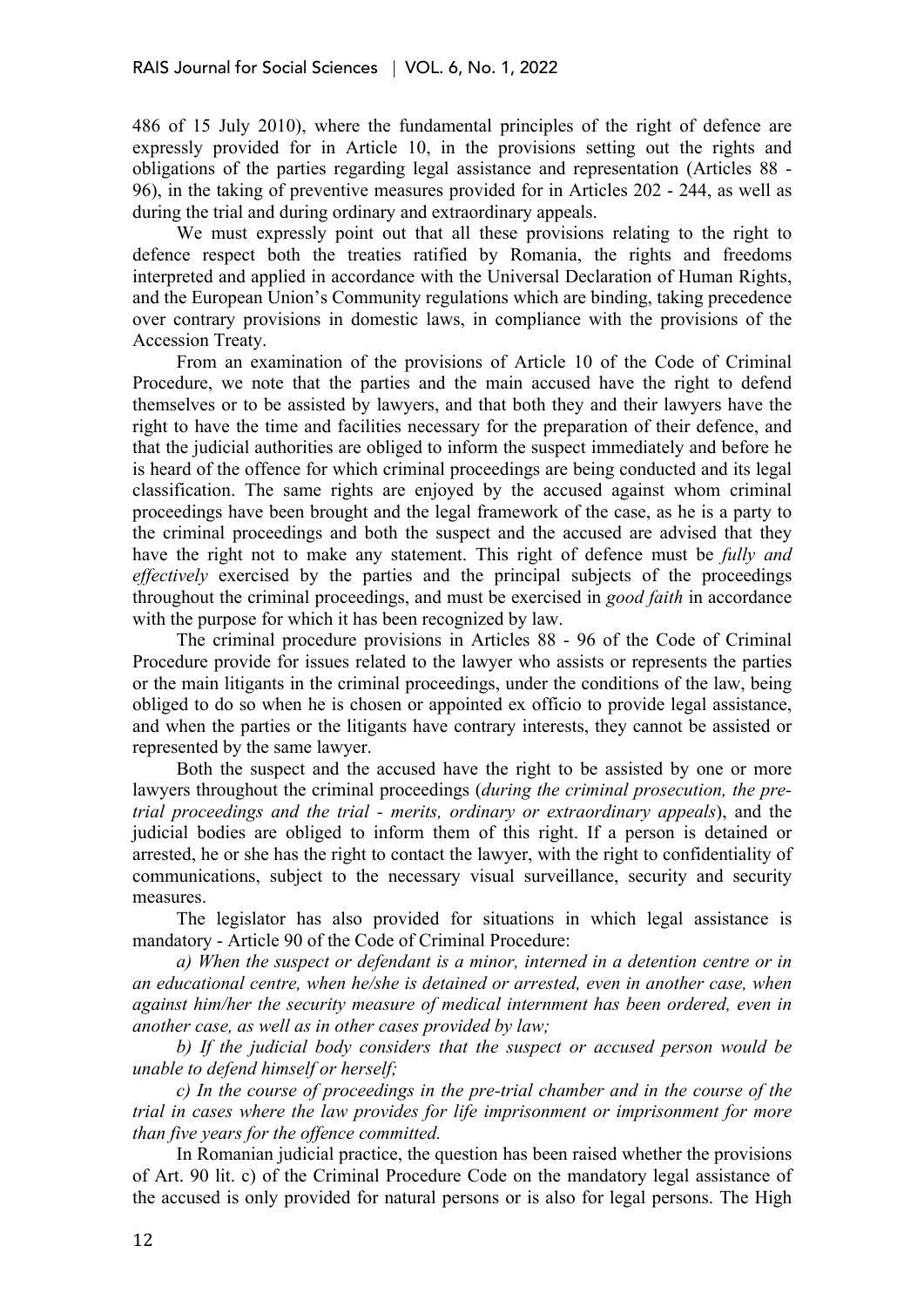486 of 15 July 2010), where the fundamental principles of the right of defence are expressly provided for in Article 10, in the provisions setting out the rights and obligations of the parties regarding legal assistance and representation (Articles 88 - 96), in the taking of preventive measures provided for in Articles 202 - 244, as well as during the trial and during ordinary and extraordinary appeals.

We must expressly point out that all these provisions relating to the right to defence respect both the treaties ratified by Romania, the rights and freedoms interpreted and applied in accordance with the Universal Declaration of Human Rights, and the European Union's Community regulations which are binding, taking precedence over contrary provisions in domestic laws, in compliance with the provisions of the Accession Treaty.

From an examination of the provisions of Article 10 of the Code of Criminal Procedure, we note that the parties and the main accused have the right to defend themselves or to be assisted by lawyers, and that both they and their lawyers have the right to have the time and facilities necessary for the preparation of their defence, and that the judicial authorities are obliged to inform the suspect immediately and before he is heard of the offence for which criminal proceedings are being conducted and its legal classification. The same rights are enjoyed by the accused against whom criminal proceedings have been brought and the legal framework of the case, as he is a party to the criminal proceedings and both the suspect and the accused are advised that they have the right not to make any statement. This right of defence must be *fully and effectively* exercised by the parties and the principal subjects of the proceedings throughout the criminal proceedings, and must be exercised in *good faith* in accordance with the purpose for which it has been recognized by law.

The criminal procedure provisions in Articles 88 - 96 of the Code of Criminal Procedure provide for issues related to the lawyer who assists or represents the parties or the main litigants in the criminal proceedings, under the conditions of the law, being obliged to do so when he is chosen or appointed ex officio to provide legal assistance, and when the parties or the litigants have contrary interests, they cannot be assisted or represented by the same lawyer.

Both the suspect and the accused have the right to be assisted by one or more lawyers throughout the criminal proceedings (*during the criminal prosecution, the pretrial proceedings and the trial - merits, ordinary or extraordinary appeals*), and the judicial bodies are obliged to inform them of this right. If a person is detained or arrested, he or she has the right to contact the lawyer, with the right to confidentiality of communications, subject to the necessary visual surveillance, security and security measures.

The legislator has also provided for situations in which legal assistance is mandatory - Article 90 of the Code of Criminal Procedure:

*a) When the suspect or defendant is a minor, interned in a detention centre or in an educational centre, when he/she is detained or arrested, even in another case, when against him/her the security measure of medical internment has been ordered, even in another case, as well as in other cases provided by law;*

*b) If the judicial body considers that the suspect or accused person would be unable to defend himself or herself;*

*c) In the course of proceedings in the pre-trial chamber and in the course of the trial in cases where the law provides for life imprisonment or imprisonment for more than five years for the offence committed.*

In Romanian judicial practice, the question has been raised whether the provisions of Art. 90 lit. c) of the Criminal Procedure Code on the mandatory legal assistance of the accused is only provided for natural persons or is also for legal persons. The High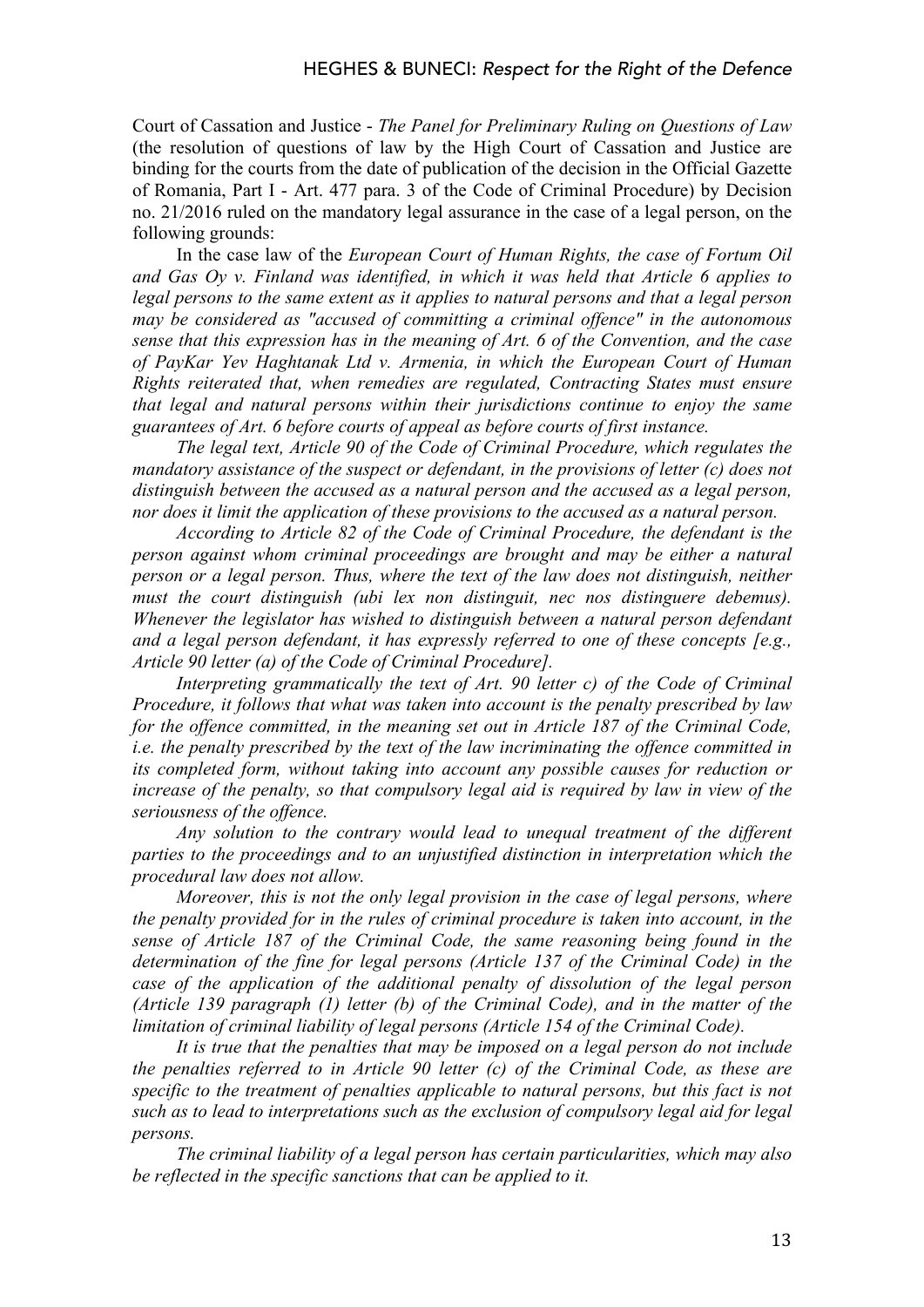Court of Cassation and Justice - *The Panel for Preliminary Ruling on Questions of Law* (the resolution of questions of law by the High Court of Cassation and Justice are binding for the courts from the date of publication of the decision in the Official Gazette of Romania, Part I - Art. 477 para. 3 of the Code of Criminal Procedure) by Decision no. 21/2016 ruled on the mandatory legal assurance in the case of a legal person, on the following grounds:

In the case law of the *European Court of Human Rights, the case of Fortum Oil and Gas Oy v. Finland was identified, in which it was held that Article 6 applies to legal persons to the same extent as it applies to natural persons and that a legal person may be considered as "accused of committing a criminal offence" in the autonomous sense that this expression has in the meaning of Art. 6 of the Convention, and the case of PayKar Yev Haghtanak Ltd v. Armenia, in which the European Court of Human Rights reiterated that, when remedies are regulated, Contracting States must ensure that legal and natural persons within their jurisdictions continue to enjoy the same guarantees of Art. 6 before courts of appeal as before courts of first instance.*

*The legal text, Article 90 of the Code of Criminal Procedure, which regulates the mandatory assistance of the suspect or defendant, in the provisions of letter (c) does not distinguish between the accused as a natural person and the accused as a legal person, nor does it limit the application of these provisions to the accused as a natural person.*

*According to Article 82 of the Code of Criminal Procedure, the defendant is the person against whom criminal proceedings are brought and may be either a natural person or a legal person. Thus, where the text of the law does not distinguish, neither must the court distinguish (ubi lex non distinguit, nec nos distinguere debemus). Whenever the legislator has wished to distinguish between a natural person defendant and a legal person defendant, it has expressly referred to one of these concepts [e.g., Article 90 letter (a) of the Code of Criminal Procedure].*

*Interpreting grammatically the text of Art. 90 letter c) of the Code of Criminal Procedure, it follows that what was taken into account is the penalty prescribed by law for the offence committed, in the meaning set out in Article 187 of the Criminal Code, i.e. the penalty prescribed by the text of the law incriminating the offence committed in its completed form, without taking into account any possible causes for reduction or increase of the penalty, so that compulsory legal aid is required by law in view of the seriousness of the offence.*

*Any solution to the contrary would lead to unequal treatment of the different parties to the proceedings and to an unjustified distinction in interpretation which the procedural law does not allow.*

*Moreover, this is not the only legal provision in the case of legal persons, where the penalty provided for in the rules of criminal procedure is taken into account, in the sense of Article 187 of the Criminal Code, the same reasoning being found in the determination of the fine for legal persons (Article 137 of the Criminal Code) in the case of the application of the additional penalty of dissolution of the legal person (Article 139 paragraph (1) letter (b) of the Criminal Code), and in the matter of the limitation of criminal liability of legal persons (Article 154 of the Criminal Code).*

*It is true that the penalties that may be imposed on a legal person do not include the penalties referred to in Article 90 letter (c) of the Criminal Code, as these are specific to the treatment of penalties applicable to natural persons, but this fact is not such as to lead to interpretations such as the exclusion of compulsory legal aid for legal persons.*

*The criminal liability of a legal person has certain particularities, which may also be reflected in the specific sanctions that can be applied to it.*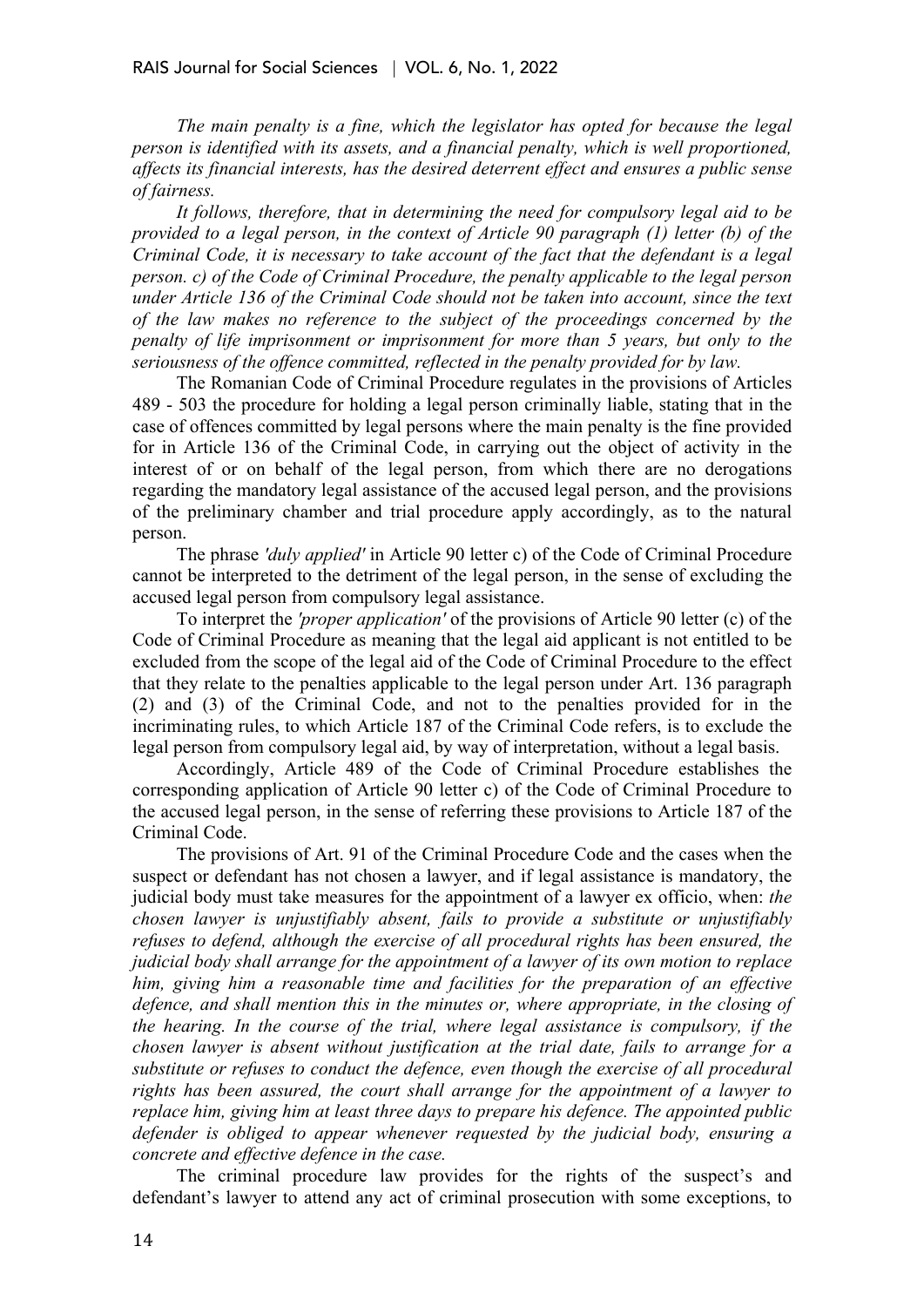*The main penalty is a fine, which the legislator has opted for because the legal person is identified with its assets, and a financial penalty, which is well proportioned, affects its financial interests, has the desired deterrent effect and ensures a public sense of fairness.*

*It follows, therefore, that in determining the need for compulsory legal aid to be provided to a legal person, in the context of Article 90 paragraph (1) letter (b) of the Criminal Code, it is necessary to take account of the fact that the defendant is a legal person. c) of the Code of Criminal Procedure, the penalty applicable to the legal person under Article 136 of the Criminal Code should not be taken into account, since the text of the law makes no reference to the subject of the proceedings concerned by the penalty of life imprisonment or imprisonment for more than 5 years, but only to the seriousness of the offence committed, reflected in the penalty provided for by law.*

The Romanian Code of Criminal Procedure regulates in the provisions of Articles 489 - 503 the procedure for holding a legal person criminally liable, stating that in the case of offences committed by legal persons where the main penalty is the fine provided for in Article 136 of the Criminal Code, in carrying out the object of activity in the interest of or on behalf of the legal person, from which there are no derogations regarding the mandatory legal assistance of the accused legal person, and the provisions of the preliminary chamber and trial procedure apply accordingly, as to the natural person.

The phrase *'duly applied'* in Article 90 letter c) of the Code of Criminal Procedure cannot be interpreted to the detriment of the legal person, in the sense of excluding the accused legal person from compulsory legal assistance.

To interpret the *'proper application'* of the provisions of Article 90 letter (c) of the Code of Criminal Procedure as meaning that the legal aid applicant is not entitled to be excluded from the scope of the legal aid of the Code of Criminal Procedure to the effect that they relate to the penalties applicable to the legal person under Art. 136 paragraph (2) and (3) of the Criminal Code, and not to the penalties provided for in the incriminating rules, to which Article 187 of the Criminal Code refers, is to exclude the legal person from compulsory legal aid, by way of interpretation, without a legal basis.

Accordingly, Article 489 of the Code of Criminal Procedure establishes the corresponding application of Article 90 letter c) of the Code of Criminal Procedure to the accused legal person, in the sense of referring these provisions to Article 187 of the Criminal Code.

The provisions of Art. 91 of the Criminal Procedure Code and the cases when the suspect or defendant has not chosen a lawyer, and if legal assistance is mandatory, the judicial body must take measures for the appointment of a lawyer ex officio, when: *the chosen lawyer is unjustifiably absent, fails to provide a substitute or unjustifiably refuses to defend, although the exercise of all procedural rights has been ensured, the judicial body shall arrange for the appointment of a lawyer of its own motion to replace him, giving him a reasonable time and facilities for the preparation of an effective defence, and shall mention this in the minutes or, where appropriate, in the closing of the hearing. In the course of the trial, where legal assistance is compulsory, if the chosen lawyer is absent without justification at the trial date, fails to arrange for a substitute or refuses to conduct the defence, even though the exercise of all procedural rights has been assured, the court shall arrange for the appointment of a lawyer to replace him, giving him at least three days to prepare his defence. The appointed public defender is obliged to appear whenever requested by the judicial body, ensuring a concrete and effective defence in the case.*

The criminal procedure law provides for the rights of the suspect's and defendant's lawyer to attend any act of criminal prosecution with some exceptions, to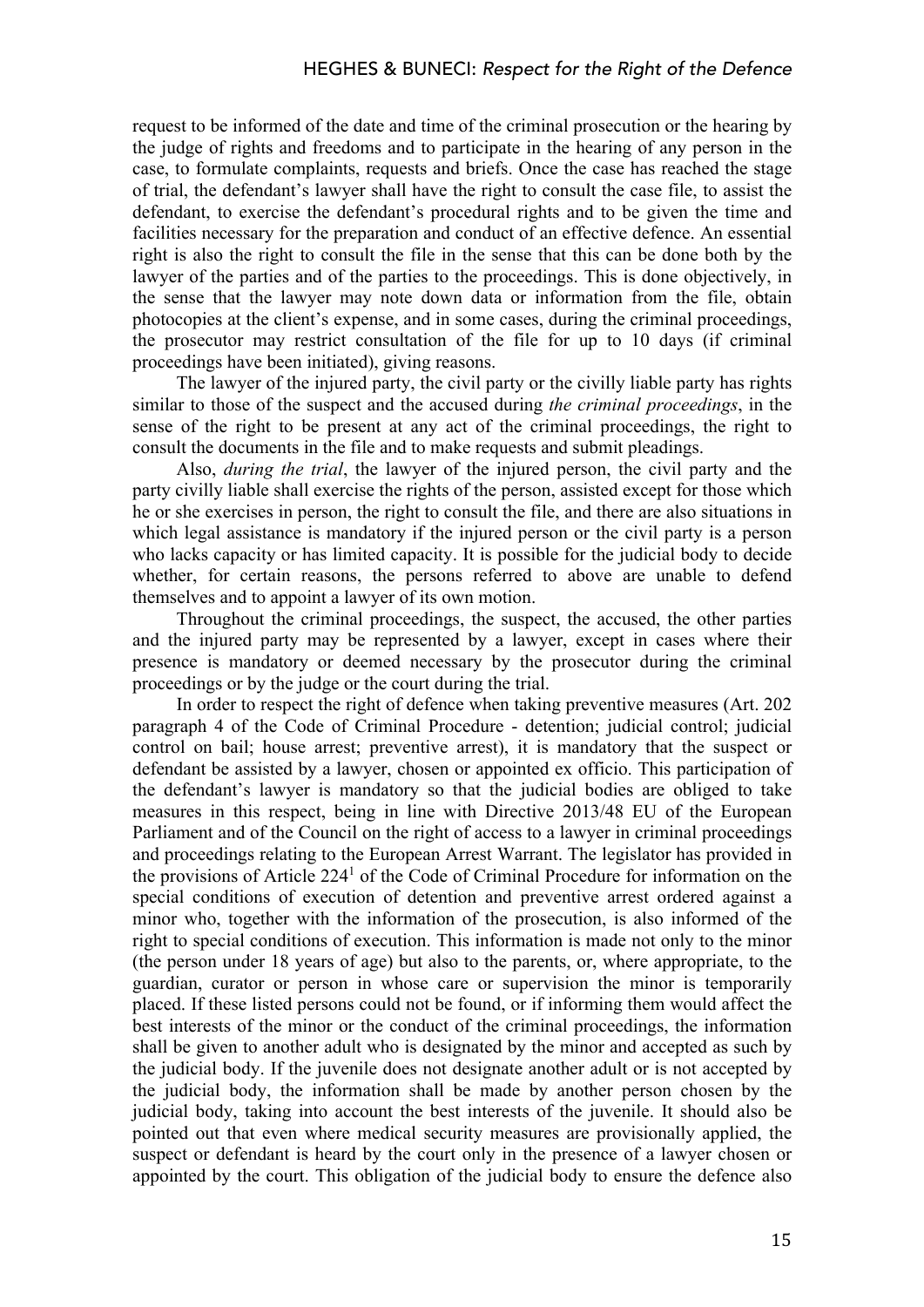request to be informed of the date and time of the criminal prosecution or the hearing by the judge of rights and freedoms and to participate in the hearing of any person in the case, to formulate complaints, requests and briefs. Once the case has reached the stage of trial, the defendant's lawyer shall have the right to consult the case file, to assist the defendant, to exercise the defendant's procedural rights and to be given the time and facilities necessary for the preparation and conduct of an effective defence. An essential right is also the right to consult the file in the sense that this can be done both by the lawyer of the parties and of the parties to the proceedings. This is done objectively, in the sense that the lawyer may note down data or information from the file, obtain photocopies at the client's expense, and in some cases, during the criminal proceedings, the prosecutor may restrict consultation of the file for up to 10 days (if criminal proceedings have been initiated), giving reasons.

The lawyer of the injured party, the civil party or the civilly liable party has rights similar to those of the suspect and the accused during *the criminal proceedings*, in the sense of the right to be present at any act of the criminal proceedings, the right to consult the documents in the file and to make requests and submit pleadings.

Also, *during the trial*, the lawyer of the injured person, the civil party and the party civilly liable shall exercise the rights of the person, assisted except for those which he or she exercises in person, the right to consult the file, and there are also situations in which legal assistance is mandatory if the injured person or the civil party is a person who lacks capacity or has limited capacity. It is possible for the judicial body to decide whether, for certain reasons, the persons referred to above are unable to defend themselves and to appoint a lawyer of its own motion.

Throughout the criminal proceedings, the suspect, the accused, the other parties and the injured party may be represented by a lawyer, except in cases where their presence is mandatory or deemed necessary by the prosecutor during the criminal proceedings or by the judge or the court during the trial.

In order to respect the right of defence when taking preventive measures (Art. 202 paragraph 4 of the Code of Criminal Procedure - detention; judicial control; judicial control on bail; house arrest; preventive arrest), it is mandatory that the suspect or defendant be assisted by a lawyer, chosen or appointed ex officio. This participation of the defendant's lawyer is mandatory so that the judicial bodies are obliged to take measures in this respect, being in line with Directive 2013/48 EU of the European Parliament and of the Council on the right of access to a lawyer in criminal proceedings and proceedings relating to the European Arrest Warrant. The legislator has provided in the provisions of Article 2241 of the Code of Criminal Procedure for information on the special conditions of execution of detention and preventive arrest ordered against a minor who, together with the information of the prosecution, is also informed of the right to special conditions of execution. This information is made not only to the minor (the person under 18 years of age) but also to the parents, or, where appropriate, to the guardian, curator or person in whose care or supervision the minor is temporarily placed. If these listed persons could not be found, or if informing them would affect the best interests of the minor or the conduct of the criminal proceedings, the information shall be given to another adult who is designated by the minor and accepted as such by the judicial body. If the juvenile does not designate another adult or is not accepted by the judicial body, the information shall be made by another person chosen by the judicial body, taking into account the best interests of the juvenile. It should also be pointed out that even where medical security measures are provisionally applied, the suspect or defendant is heard by the court only in the presence of a lawyer chosen or appointed by the court. This obligation of the judicial body to ensure the defence also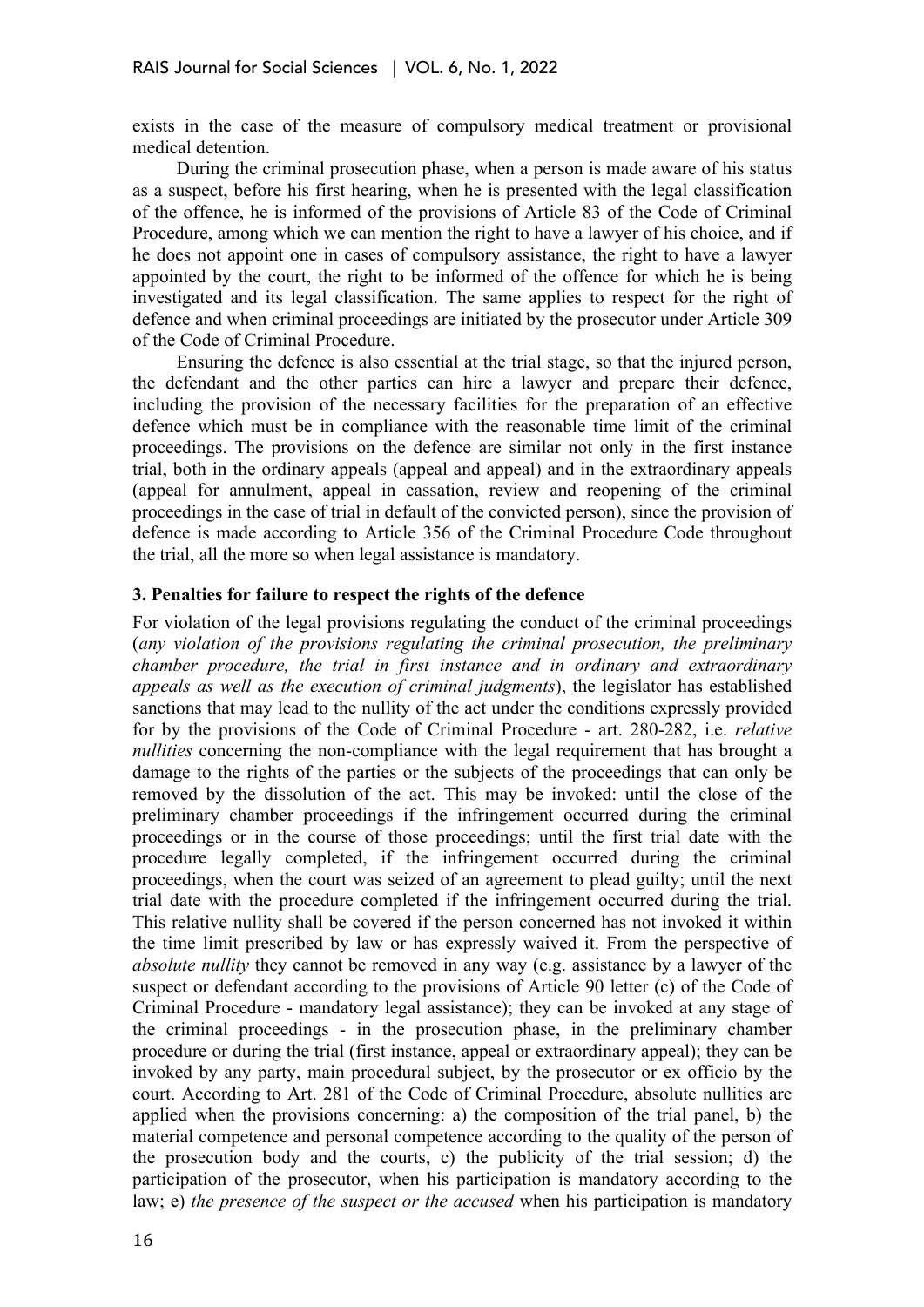exists in the case of the measure of compulsory medical treatment or provisional medical detention.

During the criminal prosecution phase, when a person is made aware of his status as a suspect, before his first hearing, when he is presented with the legal classification of the offence, he is informed of the provisions of Article 83 of the Code of Criminal Procedure, among which we can mention the right to have a lawyer of his choice, and if he does not appoint one in cases of compulsory assistance, the right to have a lawyer appointed by the court, the right to be informed of the offence for which he is being investigated and its legal classification. The same applies to respect for the right of defence and when criminal proceedings are initiated by the prosecutor under Article 309 of the Code of Criminal Procedure.

Ensuring the defence is also essential at the trial stage, so that the injured person, the defendant and the other parties can hire a lawyer and prepare their defence, including the provision of the necessary facilities for the preparation of an effective defence which must be in compliance with the reasonable time limit of the criminal proceedings. The provisions on the defence are similar not only in the first instance trial, both in the ordinary appeals (appeal and appeal) and in the extraordinary appeals (appeal for annulment, appeal in cassation, review and reopening of the criminal proceedings in the case of trial in default of the convicted person), since the provision of defence is made according to Article 356 of the Criminal Procedure Code throughout the trial, all the more so when legal assistance is mandatory.

## **3. Penalties for failure to respect the rights of the defence**

For violation of the legal provisions regulating the conduct of the criminal proceedings (*any violation of the provisions regulating the criminal prosecution, the preliminary chamber procedure, the trial in first instance and in ordinary and extraordinary appeals as well as the execution of criminal judgments*), the legislator has established sanctions that may lead to the nullity of the act under the conditions expressly provided for by the provisions of the Code of Criminal Procedure - art. 280-282, i.e. *relative nullities* concerning the non-compliance with the legal requirement that has brought a damage to the rights of the parties or the subjects of the proceedings that can only be removed by the dissolution of the act. This may be invoked: until the close of the preliminary chamber proceedings if the infringement occurred during the criminal proceedings or in the course of those proceedings; until the first trial date with the procedure legally completed, if the infringement occurred during the criminal proceedings, when the court was seized of an agreement to plead guilty; until the next trial date with the procedure completed if the infringement occurred during the trial. This relative nullity shall be covered if the person concerned has not invoked it within the time limit prescribed by law or has expressly waived it. From the perspective of *absolute nullity* they cannot be removed in any way (e.g. assistance by a lawyer of the suspect or defendant according to the provisions of Article 90 letter (c) of the Code of Criminal Procedure - mandatory legal assistance); they can be invoked at any stage of the criminal proceedings - in the prosecution phase, in the preliminary chamber procedure or during the trial (first instance, appeal or extraordinary appeal); they can be invoked by any party, main procedural subject, by the prosecutor or ex officio by the court. According to Art. 281 of the Code of Criminal Procedure, absolute nullities are applied when the provisions concerning: a) the composition of the trial panel, b) the material competence and personal competence according to the quality of the person of the prosecution body and the courts, c) the publicity of the trial session; d) the participation of the prosecutor, when his participation is mandatory according to the law; e) *the presence of the suspect or the accused* when his participation is mandatory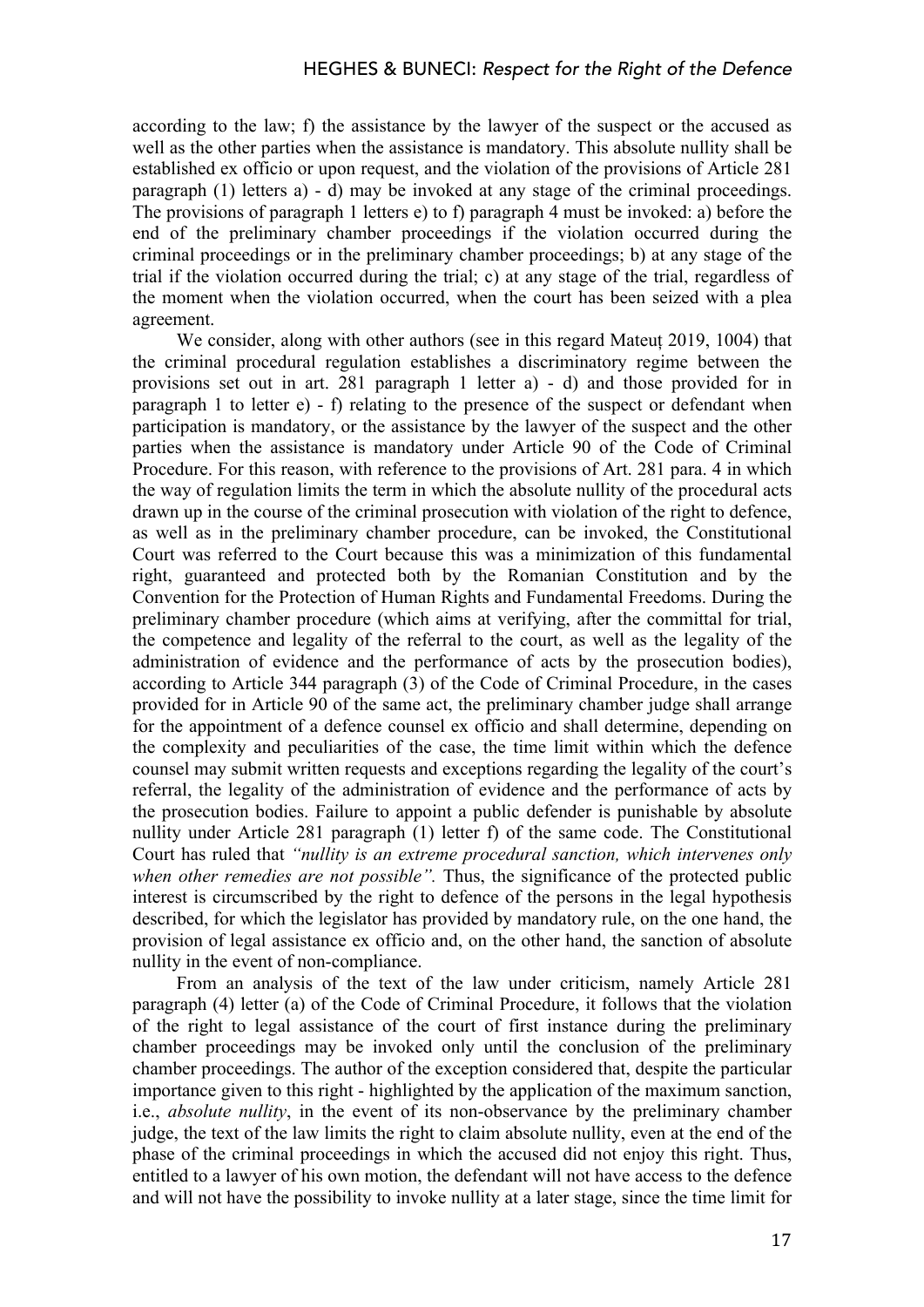according to the law; f) the assistance by the lawyer of the suspect or the accused as well as the other parties when the assistance is mandatory. This absolute nullity shall be established ex officio or upon request, and the violation of the provisions of Article 281 paragraph (1) letters a) - d) may be invoked at any stage of the criminal proceedings. The provisions of paragraph 1 letters e) to f) paragraph 4 must be invoked: a) before the end of the preliminary chamber proceedings if the violation occurred during the criminal proceedings or in the preliminary chamber proceedings; b) at any stage of the trial if the violation occurred during the trial; c) at any stage of the trial, regardless of the moment when the violation occurred, when the court has been seized with a plea agreement.

We consider, along with other authors (see in this regard Mateuț 2019, 1004) that the criminal procedural regulation establishes a discriminatory regime between the provisions set out in art. 281 paragraph 1 letter a) - d) and those provided for in paragraph 1 to letter e) - f) relating to the presence of the suspect or defendant when participation is mandatory, or the assistance by the lawyer of the suspect and the other parties when the assistance is mandatory under Article 90 of the Code of Criminal Procedure. For this reason, with reference to the provisions of Art. 281 para. 4 in which the way of regulation limits the term in which the absolute nullity of the procedural acts drawn up in the course of the criminal prosecution with violation of the right to defence, as well as in the preliminary chamber procedure, can be invoked, the Constitutional Court was referred to the Court because this was a minimization of this fundamental right, guaranteed and protected both by the Romanian Constitution and by the Convention for the Protection of Human Rights and Fundamental Freedoms. During the preliminary chamber procedure (which aims at verifying, after the committal for trial, the competence and legality of the referral to the court, as well as the legality of the administration of evidence and the performance of acts by the prosecution bodies), according to Article 344 paragraph (3) of the Code of Criminal Procedure, in the cases provided for in Article 90 of the same act, the preliminary chamber judge shall arrange for the appointment of a defence counsel ex officio and shall determine, depending on the complexity and peculiarities of the case, the time limit within which the defence counsel may submit written requests and exceptions regarding the legality of the court's referral, the legality of the administration of evidence and the performance of acts by the prosecution bodies. Failure to appoint a public defender is punishable by absolute nullity under Article 281 paragraph (1) letter f) of the same code. The Constitutional Court has ruled that *"nullity is an extreme procedural sanction, which intervenes only when other remedies are not possible".* Thus, the significance of the protected public interest is circumscribed by the right to defence of the persons in the legal hypothesis described, for which the legislator has provided by mandatory rule, on the one hand, the provision of legal assistance ex officio and, on the other hand, the sanction of absolute nullity in the event of non-compliance.

From an analysis of the text of the law under criticism, namely Article 281 paragraph (4) letter (a) of the Code of Criminal Procedure, it follows that the violation of the right to legal assistance of the court of first instance during the preliminary chamber proceedings may be invoked only until the conclusion of the preliminary chamber proceedings. The author of the exception considered that, despite the particular importance given to this right - highlighted by the application of the maximum sanction, i.e., *absolute nullity*, in the event of its non-observance by the preliminary chamber judge, the text of the law limits the right to claim absolute nullity, even at the end of the phase of the criminal proceedings in which the accused did not enjoy this right. Thus, entitled to a lawyer of his own motion, the defendant will not have access to the defence and will not have the possibility to invoke nullity at a later stage, since the time limit for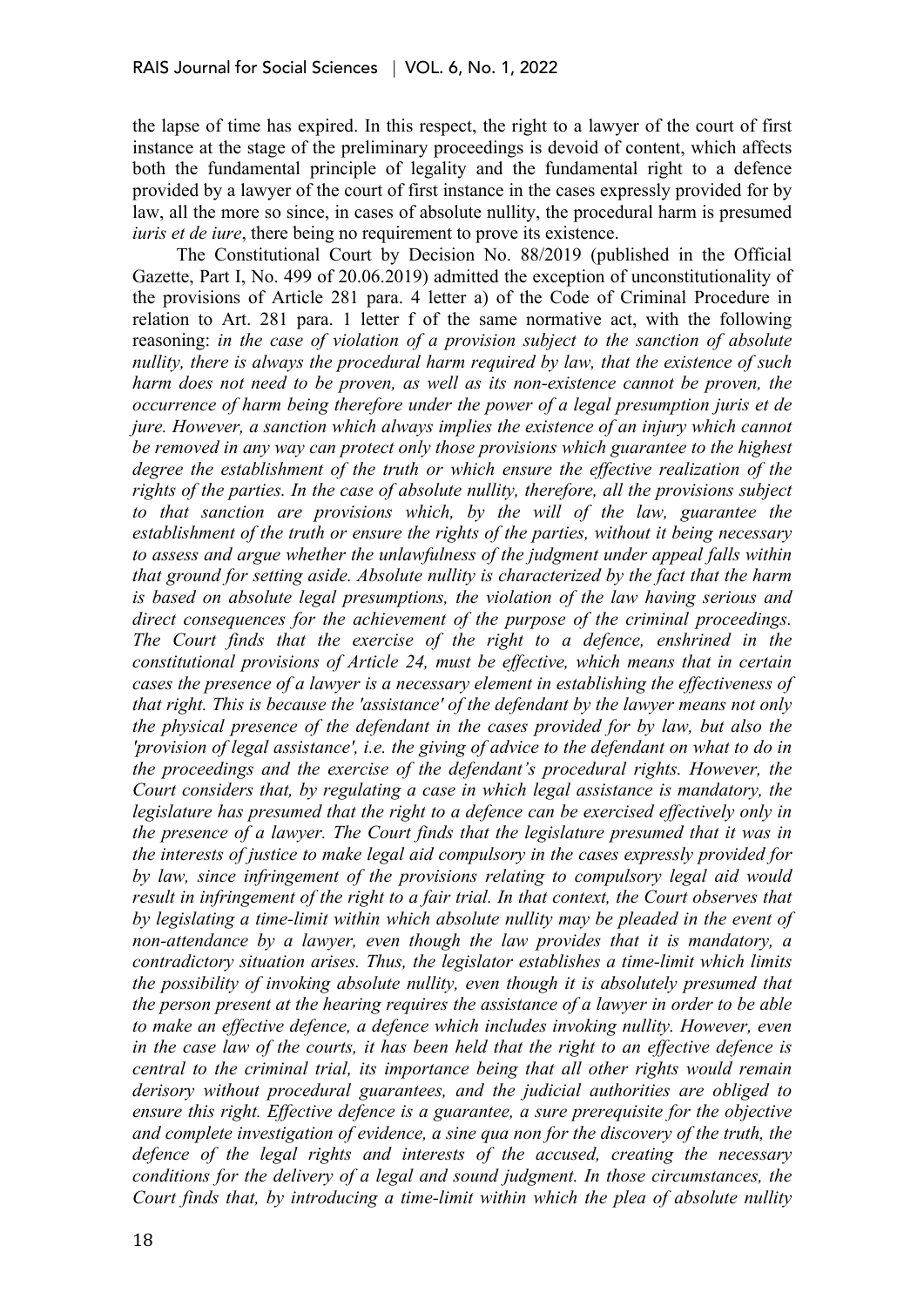the lapse of time has expired. In this respect, the right to a lawyer of the court of first instance at the stage of the preliminary proceedings is devoid of content, which affects both the fundamental principle of legality and the fundamental right to a defence provided by a lawyer of the court of first instance in the cases expressly provided for by law, all the more so since, in cases of absolute nullity, the procedural harm is presumed *iuris et de iure*, there being no requirement to prove its existence.

The Constitutional Court by Decision No. 88/2019 (published in the Official Gazette, Part I, No. 499 of 20.06.2019) admitted the exception of unconstitutionality of the provisions of Article 281 para. 4 letter a) of the Code of Criminal Procedure in relation to Art. 281 para. 1 letter f of the same normative act, with the following reasoning: *in the case of violation of a provision subject to the sanction of absolute nullity, there is always the procedural harm required by law, that the existence of such harm does not need to be proven, as well as its non-existence cannot be proven, the occurrence of harm being therefore under the power of a legal presumption juris et de jure. However, a sanction which always implies the existence of an injury which cannot be removed in any way can protect only those provisions which guarantee to the highest degree the establishment of the truth or which ensure the effective realization of the rights of the parties. In the case of absolute nullity, therefore, all the provisions subject*  to that sanction are provisions which, by the will of the law, guarantee the *establishment of the truth or ensure the rights of the parties, without it being necessary to assess and argue whether the unlawfulness of the judgment under appeal falls within that ground for setting aside. Absolute nullity is characterized by the fact that the harm is based on absolute legal presumptions, the violation of the law having serious and direct consequences for the achievement of the purpose of the criminal proceedings. The Court finds that the exercise of the right to a defence, enshrined in the constitutional provisions of Article 24, must be effective, which means that in certain cases the presence of a lawyer is a necessary element in establishing the effectiveness of that right. This is because the 'assistance' of the defendant by the lawyer means not only the physical presence of the defendant in the cases provided for by law, but also the 'provision of legal assistance', i.e. the giving of advice to the defendant on what to do in the proceedings and the exercise of the defendant's procedural rights. However, the Court considers that, by regulating a case in which legal assistance is mandatory, the legislature has presumed that the right to a defence can be exercised effectively only in the presence of a lawyer. The Court finds that the legislature presumed that it was in the interests of justice to make legal aid compulsory in the cases expressly provided for by law, since infringement of the provisions relating to compulsory legal aid would result in infringement of the right to a fair trial. In that context, the Court observes that by legislating a time-limit within which absolute nullity may be pleaded in the event of non-attendance by a lawyer, even though the law provides that it is mandatory, a contradictory situation arises. Thus, the legislator establishes a time-limit which limits the possibility of invoking absolute nullity, even though it is absolutely presumed that the person present at the hearing requires the assistance of a lawyer in order to be able to make an effective defence, a defence which includes invoking nullity. However, even in the case law of the courts, it has been held that the right to an effective defence is central to the criminal trial, its importance being that all other rights would remain derisory without procedural guarantees, and the judicial authorities are obliged to ensure this right. Effective defence is a guarantee, a sure prerequisite for the objective and complete investigation of evidence, a sine qua non for the discovery of the truth, the defence of the legal rights and interests of the accused, creating the necessary conditions for the delivery of a legal and sound judgment. In those circumstances, the Court finds that, by introducing a time-limit within which the plea of absolute nullity*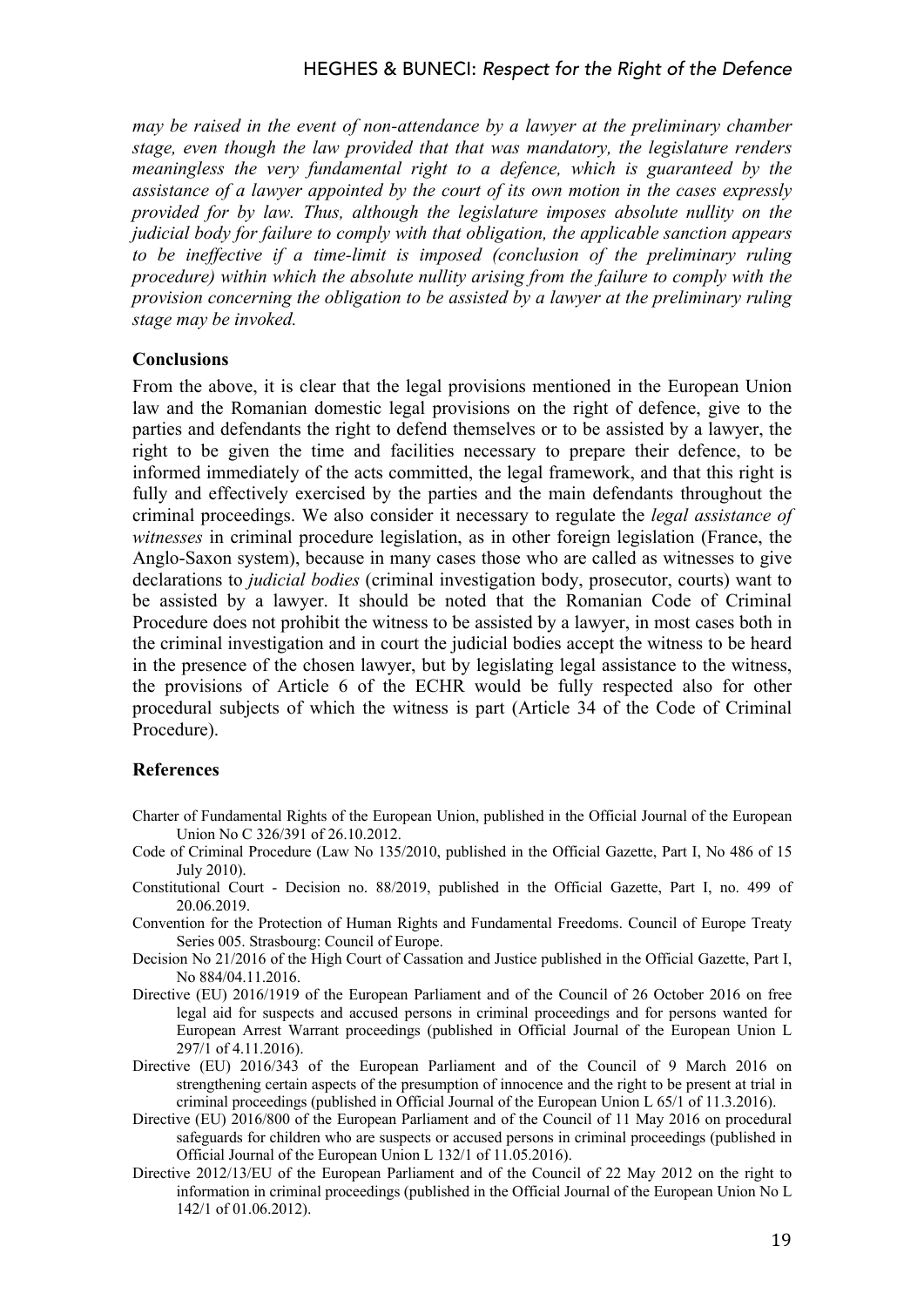*may be raised in the event of non-attendance by a lawyer at the preliminary chamber stage, even though the law provided that that was mandatory, the legislature renders meaningless the very fundamental right to a defence, which is guaranteed by the assistance of a lawyer appointed by the court of its own motion in the cases expressly provided for by law. Thus, although the legislature imposes absolute nullity on the judicial body for failure to comply with that obligation, the applicable sanction appears to be ineffective if a time-limit is imposed (conclusion of the preliminary ruling procedure) within which the absolute nullity arising from the failure to comply with the provision concerning the obligation to be assisted by a lawyer at the preliminary ruling stage may be invoked.*

## **Conclusions**

From the above, it is clear that the legal provisions mentioned in the European Union law and the Romanian domestic legal provisions on the right of defence, give to the parties and defendants the right to defend themselves or to be assisted by a lawyer, the right to be given the time and facilities necessary to prepare their defence, to be informed immediately of the acts committed, the legal framework, and that this right is fully and effectively exercised by the parties and the main defendants throughout the criminal proceedings. We also consider it necessary to regulate the *legal assistance of witnesses* in criminal procedure legislation, as in other foreign legislation (France, the Anglo-Saxon system), because in many cases those who are called as witnesses to give declarations to *judicial bodies* (criminal investigation body, prosecutor, courts) want to be assisted by a lawyer. It should be noted that the Romanian Code of Criminal Procedure does not prohibit the witness to be assisted by a lawyer, in most cases both in the criminal investigation and in court the judicial bodies accept the witness to be heard in the presence of the chosen lawyer, but by legislating legal assistance to the witness, the provisions of Article 6 of the ECHR would be fully respected also for other procedural subjects of which the witness is part (Article 34 of the Code of Criminal Procedure).

#### **References**

- Charter of Fundamental Rights of the European Union, published in the Official Journal of the European Union No C 326/391 of 26.10.2012.
- Code of Criminal Procedure (Law No 135/2010, published in the Official Gazette, Part I, No 486 of 15 July 2010).
- Constitutional Court Decision no. 88/2019, published in the Official Gazette, Part I, no. 499 of 20.06.2019.
- Convention for the Protection of Human Rights and Fundamental Freedoms. Council of Europe Treaty Series 005. Strasbourg: Council of Europe.
- Decision No 21/2016 of the High Court of Cassation and Justice published in the Official Gazette, Part I, No 884/04.11.2016.
- Directive (EU) 2016/1919 of the European Parliament and of the Council of 26 October 2016 on free legal aid for suspects and accused persons in criminal proceedings and for persons wanted for European Arrest Warrant proceedings (published in Official Journal of the European Union L 297/1 of 4.11.2016).
- Directive (EU) 2016/343 of the European Parliament and of the Council of 9 March 2016 on strengthening certain aspects of the presumption of innocence and the right to be present at trial in criminal proceedings (published in Official Journal of the European Union L 65/1 of 11.3.2016).
- Directive (EU) 2016/800 of the European Parliament and of the Council of 11 May 2016 on procedural safeguards for children who are suspects or accused persons in criminal proceedings (published in Official Journal of the European Union L 132/1 of 11.05.2016).
- Directive 2012/13/EU of the European Parliament and of the Council of 22 May 2012 on the right to information in criminal proceedings (published in the Official Journal of the European Union No L 142/1 of 01.06.2012).